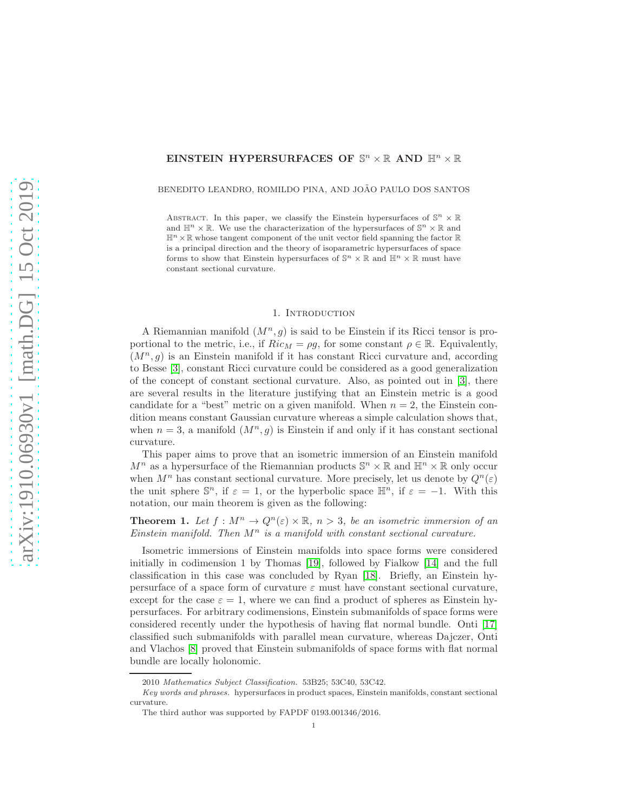# EINSTEIN HYPERSURFACES OF  $\mathbb{S}^n \times \mathbb{R}$  AND  $\mathbb{H}^n \times \mathbb{R}$

## BENEDITO LEANDRO, ROMILDO PINA, AND JOÃO PAULO DOS SANTOS

ABSTRACT. In this paper, we classify the Einstein hypersurfaces of  $\mathbb{S}^n \times \mathbb{R}$ and  $\mathbb{H}^n \times \mathbb{R}$ . We use the characterization of the hypersurfaces of  $\mathbb{S}^n \times \mathbb{R}$  and  $\mathbb{H}^n \times \mathbb{R}$  whose tangent component of the unit vector field spanning the factor  $\mathbb{R}$ is a principal direction and the theory of isoparametric hypersurfaces of space forms to show that Einstein hypersurfaces of  $\mathbb{S}^n \times \mathbb{R}$  and  $\mathbb{H}^n \times \mathbb{R}$  must have constant sectional curvature.

### 1. Introduction

A Riemannian manifold  $(M^n, g)$  is said to be Einstein if its Ricci tensor is proportional to the metric, i.e., if  $Ric_M = \rho g$ , for some constant  $\rho \in \mathbb{R}$ . Equivalently,  $(M^n, g)$  is an Einstein manifold if it has constant Ricci curvature and, according to Besse [\[3\]](#page-6-0), constant Ricci curvature could be considered as a good generalization of the concept of constant sectional curvature. Also, as pointed out in [\[3\]](#page-6-0), there are several results in the literature justifying that an Einstein metric is a good candidate for a "best" metric on a given manifold. When  $n = 2$ , the Einstein condition means constant Gaussian curvature whereas a simple calculation shows that, when  $n = 3$ , a manifold  $(M^n, q)$  is Einstein if and only if it has constant sectional curvature.

This paper aims to prove that an isometric immersion of an Einstein manifold  $M^n$  as a hypersurface of the Riemannian products  $\mathbb{S}^n \times \mathbb{R}$  and  $\mathbb{H}^n \times \mathbb{R}$  only occur when  $M^n$  has constant sectional curvature. More precisely, let us denote by  $Q^n(\varepsilon)$ the unit sphere  $\mathbb{S}^n$ , if  $\varepsilon = 1$ , or the hyperbolic space  $\mathbb{H}^n$ , if  $\varepsilon = -1$ . With this notation, our main theorem is given as the following:

<span id="page-0-0"></span>**Theorem 1.** Let  $f : M^n \to Q^n(\varepsilon) \times \mathbb{R}$ ,  $n > 3$ , be an isometric immersion of an Einstein manifold. Then  $M^n$  is a manifold with constant sectional curvature.

Isometric immersions of Einstein manifolds into space forms were considered initially in codimension 1 by Thomas [\[19\]](#page-7-0), followed by Fialkow [\[14\]](#page-6-1) and the full classification in this case was concluded by Ryan [\[18\]](#page-6-2). Briefly, an Einstein hypersurface of a space form of curvature  $\varepsilon$  must have constant sectional curvature, except for the case  $\varepsilon = 1$ , where we can find a product of spheres as Einstein hypersurfaces. For arbitrary codimensions, Einstein submanifolds of space forms were considered recently under the hypothesis of having flat normal bundle. Onti [\[17\]](#page-6-3) classified such submanifolds with parallel mean curvature, whereas Dajczer, Onti and Vlachos [\[8\]](#page-6-4) proved that Einstein submanifolds of space forms with flat normal bundle are locally holonomic.

<sup>2010</sup> Mathematics Subject Classification. 53B25; 53C40, 53C42.

Key words and phrases. hypersurfaces in product spaces, Einstein manifolds, constant sectional curvature.

The third author was supported by FAPDF 0193.001346/2016.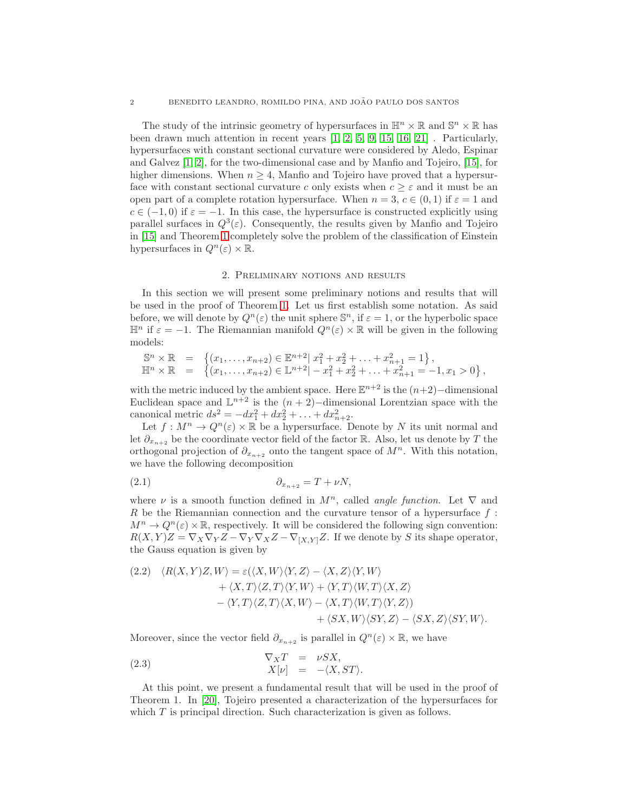The study of the intrinsic geometry of hypersurfaces in  $\mathbb{H}^n \times \mathbb{R}$  and  $\mathbb{S}^n \times \mathbb{R}$  has been drawn much attention in recent years  $\begin{bmatrix} 1, 2, 5, 9, 15, 16, 21 \end{bmatrix}$  $\begin{bmatrix} 1, 2, 5, 9, 15, 16, 21 \end{bmatrix}$  $\begin{bmatrix} 1, 2, 5, 9, 15, 16, 21 \end{bmatrix}$  $\begin{bmatrix} 1, 2, 5, 9, 15, 16, 21 \end{bmatrix}$  $\begin{bmatrix} 1, 2, 5, 9, 15, 16, 21 \end{bmatrix}$  $\begin{bmatrix} 1, 2, 5, 9, 15, 16, 21 \end{bmatrix}$  $\begin{bmatrix} 1, 2, 5, 9, 15, 16, 21 \end{bmatrix}$ . Particularly, hypersurfaces with constant sectional curvature were considered by Aledo, Espinar and Galvez [\[1,](#page-6-5) [2\]](#page-6-6), for the two-dimensional case and by Manfio and Tojeiro, [\[15\]](#page-6-9), for higher dimensions. When  $n \geq 4$ , Manfio and Tojeiro have proved that a hypersurface with constant sectional curvature c only exists when  $c \geq \varepsilon$  and it must be an open part of a complete rotation hypersurface. When  $n = 3, c \in (0, 1)$  if  $\varepsilon = 1$  and  $c \in (-1,0)$  if  $\varepsilon = -1$ . In this case, the hypersurface is constructed explicitly using parallel surfaces in  $Q^3(\varepsilon)$ . Consequently, the results given by Manfio and Tojeiro in [\[15\]](#page-6-9) and Theorem [1](#page-0-0) completely solve the problem of the classification of Einstein hypersurfaces in  $Q^n(\varepsilon) \times \mathbb{R}$ .

## 2. Preliminary notions and results

In this section we will present some preliminary notions and results that will be used in the proof of Theorem [1.](#page-0-0) Let us first establish some notation. As said before, we will denote by  $Q^n(\varepsilon)$  the unit sphere  $\mathbb{S}^n$ , if  $\varepsilon = 1$ , or the hyperbolic space  $\mathbb{H}^n$  if  $\varepsilon = -1$ . The Riemannian manifold  $Q^n(\varepsilon) \times \mathbb{R}$  will be given in the following models:

$$
\mathbb{S}^n \times \mathbb{R} = \left\{ (x_1, \ldots, x_{n+2}) \in \mathbb{E}^{n+2} \mid x_1^2 + x_2^2 + \ldots + x_{n+1}^2 = 1 \right\},
$$
  
\n
$$
\mathbb{H}^n \times \mathbb{R} = \left\{ (x_1, \ldots, x_{n+2}) \in \mathbb{L}^{n+2} \mid -x_1^2 + x_2^2 + \ldots + x_{n+1}^2 = -1, x_1 > 0 \right\},
$$

with the metric induced by the ambient space. Here  $\mathbb{E}^{n+2}$  is the  $(n+2)$ -dimensional Euclidean space and  $\mathbb{L}^{n+2}$  is the  $(n+2)$ -dimensional Lorentzian space with the canonical metric  $ds^2 = -dx_1^2 + dx_2^2 + \ldots + dx_{n+2}^2$ .

Let  $f: M^n \to Q^n(\varepsilon) \times \mathbb{R}$  be a hypersurface. Denote by N its unit normal and let  $\partial_{x_{n+2}}$  be the coordinate vector field of the factor R. Also, let us denote by T the orthogonal projection of  $\partial_{x_{n+2}}$  onto the tangent space of  $M^n$ . With this notation, we have the following decomposition

$$
(2.1) \t\t\t \t\t \partial_{x_{n+2}} = T + \nu N,
$$

where  $\nu$  is a smooth function defined in  $M^n$ , called *angle function*. Let  $\nabla$  and R be the Riemannian connection and the curvature tensor of a hypersurface  $f$ :  $M^n \to Q^n(\varepsilon) \times \mathbb{R}$ , respectively. It will be considered the following sign convention:  $R(X, Y)Z = \nabla_X \nabla_Y Z - \nabla_Y \nabla_X Z - \nabla_{[X, Y]} Z$ . If we denote by S its shape operator, the Gauss equation is given by

<span id="page-1-0"></span>
$$
(2.2) \quad \langle R(X,Y)Z,W \rangle = \varepsilon(\langle X,W \rangle \langle Y,Z \rangle - \langle X,Z \rangle \langle Y,W \rangle + \langle X,T \rangle \langle Z,T \rangle \langle Y,W \rangle + \langle Y,T \rangle \langle W,T \rangle \langle X,Z \rangle - \langle Y,T \rangle \langle Z,T \rangle \langle X,W \rangle - \langle X,T \rangle \langle W,T \rangle \langle Y,Z \rangle) + \langle SX,W \rangle \langle SY,Z \rangle - \langle SX,Z \rangle \langle SY,W \rangle.
$$

Moreover, since the vector field  $\partial_{x_{n+2}}$  is parallel in  $Q^n(\varepsilon) \times \mathbb{R}$ , we have

(2.3) 
$$
\nabla_X T = \nu S X,
$$

$$
X[\nu] = -\langle X, ST \rangle.
$$

At this point, we present a fundamental result that will be used in the proof of Theorem 1. In [\[20\]](#page-7-2), Tojeiro presented a characterization of the hypersurfaces for which  $T$  is principal direction. Such characterization is given as follows.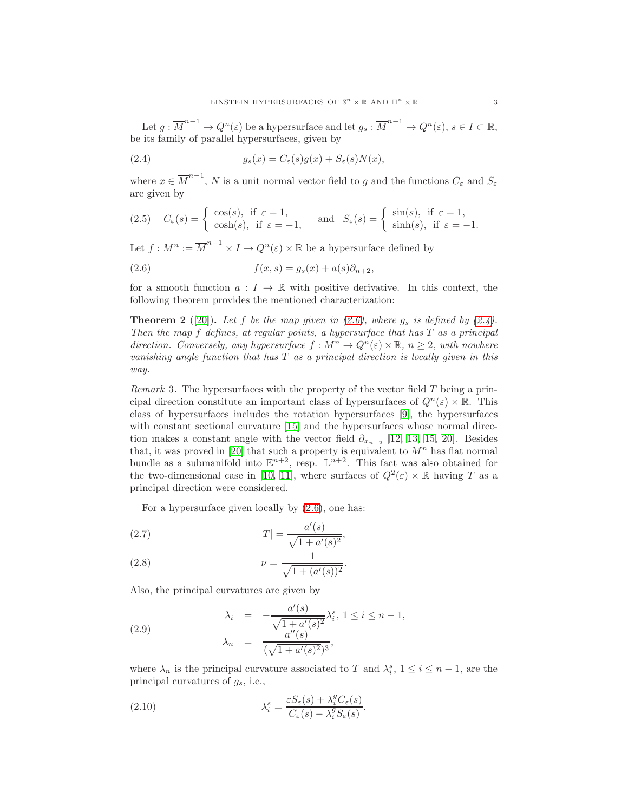Let  $g: \overline{M}^{n-1} \to Q^n(\varepsilon)$  be a hypersurface and let  $g_s: \overline{M}^{n-1} \to Q^n(\varepsilon)$ ,  $s \in I \subset \mathbb{R}$ , be its family of parallel hypersurfaces, given by

<span id="page-2-1"></span>(2.4) 
$$
g_s(x) = C_{\varepsilon}(s)g(x) + S_{\varepsilon}(s)N(x),
$$

where  $x \in \overline{M}^{n-1}$ , N is a unit normal vector field to g and the functions  $C_{\varepsilon}$  and  $S_{\varepsilon}$ are given by

(2.5) 
$$
C_{\varepsilon}(s) = \begin{cases} \cos(s), & \text{if } \varepsilon = 1, \\ \cosh(s), & \text{if } \varepsilon = -1, \end{cases}
$$
 and  $S_{\varepsilon}(s) = \begin{cases} \sin(s), & \text{if } \varepsilon = 1, \\ \sinh(s), & \text{if } \varepsilon = -1. \end{cases}$ 

Let  $f: M^n := \overline{M}^{n-1} \times I \to Q^n(\varepsilon) \times \mathbb{R}$  be a hypersurface defined by

<span id="page-2-0"></span>(2.6) 
$$
f(x,s) = g_s(x) + a(s)\partial_{n+2},
$$

for a smooth function  $a: I \to \mathbb{R}$  with positive derivative. In this context, the following theorem provides the mentioned characterization:

<span id="page-2-4"></span>**Theorem 2** ([\[20\]](#page-7-2)). Let f be the map given in [\(2.6\)](#page-2-0), where  $g_s$  is defined by [\(2.4\)](#page-2-1). Then the map f defines, at regular points, a hypersurface that has T as a principal direction. Conversely, any hypersurface  $f : M^n \to Q^n(\varepsilon) \times \mathbb{R}, n \geq 2$ , with nowhere vanishing angle function that has  $T$  as a principal direction is locally given in this way.

*Remark* 3. The hypersurfaces with the property of the vector field  $T$  being a principal direction constitute an important class of hypersurfaces of  $Q^n(\varepsilon) \times \mathbb{R}$ . This class of hypersurfaces includes the rotation hypersurfaces [\[9\]](#page-6-8), the hypersurfaces with constant sectional curvature [\[15\]](#page-6-9) and the hypersurfaces whose normal direction makes a constant angle with the vector field  $\partial_{x_{n+2}}$  [\[12,](#page-6-11) [13,](#page-6-12) [15,](#page-6-9) [20\]](#page-7-2). Besides that, it was proved in [\[20\]](#page-7-2) that such a property is equivalent to  $M<sup>n</sup>$  has flat normal bundle as a submanifold into  $\mathbb{E}^{n+2}$ , resp.  $\mathbb{L}^{n+2}$ . This fact was also obtained for the two-dimensional case in [\[10,](#page-6-13) [11\]](#page-6-14), where surfaces of  $Q^2(\varepsilon) \times \mathbb{R}$  having T as a principal direction were considered.

<span id="page-2-2"></span>For a hypersurface given locally by [\(2.6\)](#page-2-0), one has:

(2.7) 
$$
|T| = \frac{a'(s)}{\sqrt{1 + a'(s)^2}},
$$

(2.8) 
$$
\nu = \frac{1}{\sqrt{1 + (a'(s))^2}}.
$$

Also, the principal curvatures are given by

<span id="page-2-3"></span>(2.9) 
$$
\lambda_i = -\frac{a'(s)}{\sqrt{1 + a'(s)^2}} \lambda_i^s, 1 \le i \le n - 1, \n\lambda_n = \frac{a''(s)}{(\sqrt{1 + a'(s)^2})^3},
$$

where  $\lambda_n$  is the principal curvature associated to T and  $\lambda_i^s$ ,  $1 \le i \le n-1$ , are the principal curvatures of  $g_s$ , i.e.,

<span id="page-2-5"></span>(2.10) 
$$
\lambda_i^s = \frac{\varepsilon S_\varepsilon(s) + \lambda_i^g C_\varepsilon(s)}{C_\varepsilon(s) - \lambda_i^g S_\varepsilon(s)}.
$$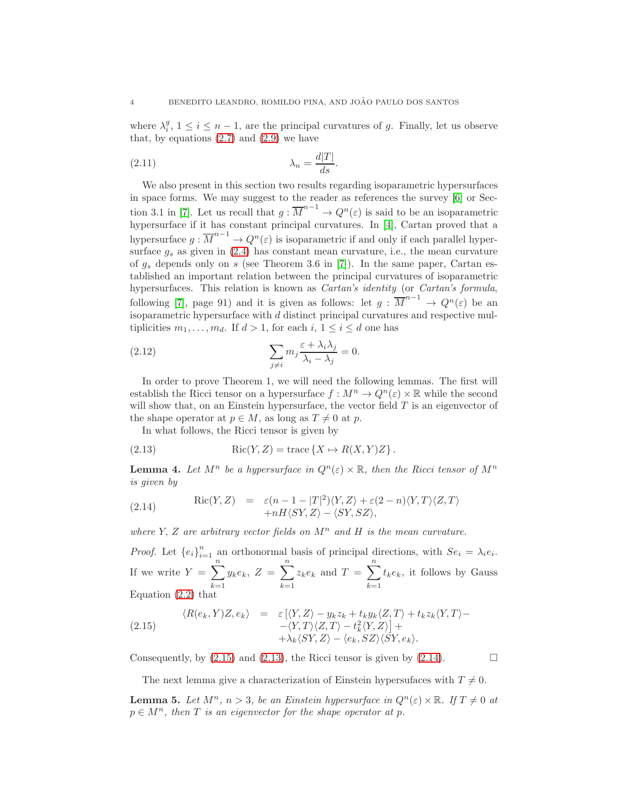where  $\lambda_i^g$ ,  $1 \leq i \leq n-1$ , are the principal curvatures of g. Finally, let us observe that, by equations  $(2.7)$  and  $(2.9)$  we have

<span id="page-3-4"></span>
$$
\lambda_n = \frac{d|T|}{ds}.
$$

We also present in this section two results regarding isoparametric hypersurfaces in space forms. We may suggest to the reader as references the survey [\[6\]](#page-6-15) or Sec-tion 3.1 in [\[7\]](#page-6-16). Let us recall that  $g: \overline{M}^{n-1} \to Q^n(\varepsilon)$  is said to be an isoparametric hypersurface if it has constant principal curvatures. In [\[4\]](#page-6-17), Cartan proved that a hypersurface  $g: \overline{M}^{n-1} \to Q^n(\varepsilon)$  is isoparametric if and only if each parallel hypersurface  $g_s$  as given in [\(2.4\)](#page-2-1) has constant mean curvature, i.e., the mean curvature of  $g_s$  depends only on s (see Theorem 3.6 in [\[7\]](#page-6-16)). In the same paper, Cartan established an important relation between the principal curvatures of isoparametric hypersurfaces. This relation is known as *Cartan's identity* (or *Cartan's formula*, following [\[7\]](#page-6-16), page 91) and it is given as follows: let  $g: \overline{M}^{n-1} \to Q^n(\varepsilon)$  be an isoparametric hypersurface with d distinct principal curvatures and respective multiplicities  $m_1, \ldots, m_d$ . If  $d > 1$ , for each  $i, 1 \leq i \leq d$  one has

<span id="page-3-5"></span>(2.12) 
$$
\sum_{j \neq i} m_j \frac{\varepsilon + \lambda_i \lambda_j}{\lambda_i - \lambda_j} = 0.
$$

In order to prove Theorem 1, we will need the following lemmas. The first will establish the Ricci tensor on a hypersurface  $f : M^n \to Q^n(\varepsilon) \times \mathbb{R}$  while the second will show that, on an Einstein hypersurface, the vector field  $T$  is an eigenvector of the shape operator at  $p \in M$ , as long as  $T \neq 0$  at p.

<span id="page-3-1"></span>In what follows, the Ricci tensor is given by

(2.13) 
$$
Ric(Y, Z) = \text{trace}\left\{X \mapsto R(X, Y)Z\right\}.
$$

**Lemma 4.** Let  $M^n$  be a hypersurface in  $Q^n(\varepsilon) \times \mathbb{R}$ , then the Ricci tensor of  $M^n$ is given by

<span id="page-3-2"></span>(2.14) \t\t\t
$$
\operatorname{Ric}(Y, Z) = \varepsilon (n - 1 - |T|^2) \langle Y, Z \rangle + \varepsilon (2 - n) \langle Y, T \rangle \langle Z, T \rangle + nH \langle SY, Z \rangle - \langle SY, SZ \rangle,
$$

where Y, Z are arbitrary vector fields on  $M^n$  and H is the mean curvature.

*Proof.* Let  ${e_i}_{i=1}^n$  an orthonormal basis of principal directions, with  $Se_i = \lambda_i e_i$ . If we write  $Y = \sum_{n=1}^{\infty}$  $k=1$  $y_k e_k, Z = \sum_{k=1}^{n}$  $k=1$  $z_k e_k$  and  $T = \sum_{n=1}^{\infty}$  $k=1$  $t_ke_k$ , it follows by Gauss Equation [\(2.2\)](#page-1-0) that

<span id="page-3-0"></span>(2.15) 
$$
\langle R(e_k, Y)Z, e_k \rangle = \varepsilon [\langle Y, Z \rangle - y_k z_k + t_k y_k \langle Z, T \rangle + t_k z_k \langle Y, T \rangle - \langle Y, T \rangle \langle Z, T \rangle - t_k^2 \langle Y, Z \rangle] + \lambda_k \langle SY, Z \rangle - \langle e_k, SZ \rangle \langle SY, e_k \rangle.
$$

Consequently, by  $(2.15)$  and  $(2.13)$ , the Ricci tensor is given by  $(2.14)$ .

The next lemma give a characterization of Einstein hypersufaces with  $T \neq 0$ .

<span id="page-3-3"></span>**Lemma 5.** Let  $M^n$ ,  $n > 3$ , be an Einstein hypersurface in  $Q^n(\varepsilon) \times \mathbb{R}$ . If  $T \neq 0$  at  $p \in M^n$ , then T is an eigenvector for the shape operator at p.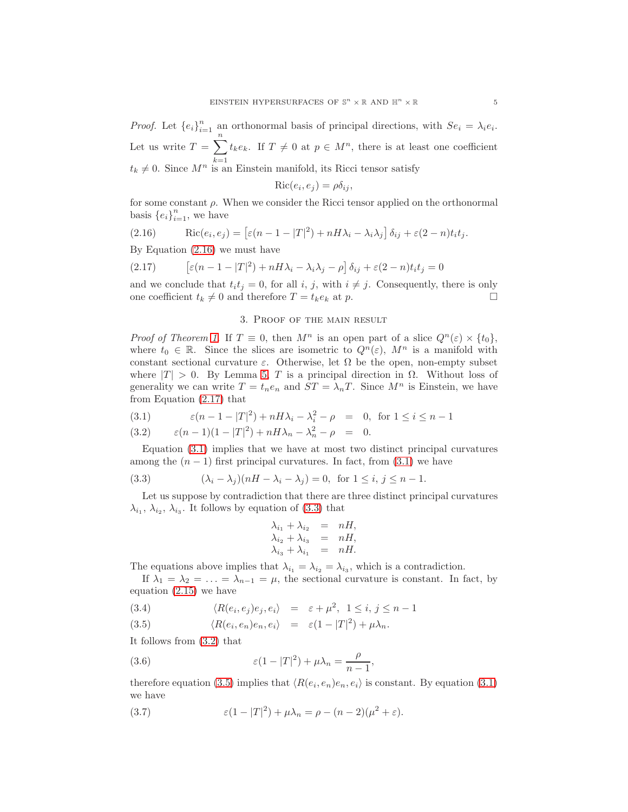*Proof.* Let  ${e_i}_{i=1}^n$  an orthonormal basis of principal directions, with  $Se_i = \lambda_i e_i$ . Let us write  $T = \sum_{n=1}^{\infty}$  $k=1$  $t_ke_k$ . If  $T \neq 0$  at  $p \in M^n$ , there is at least one coefficient  $t_k \neq 0$ . Since  $M^n$  is an Einstein manifold, its Ricci tensor satisfy

$$
Ric(e_i, e_j) = \rho \delta_{ij},
$$

for some constant  $\rho$ . When we consider the Ricci tensor applied on the orthonormal basis  $\{e_i\}_{i=1}^n$ , we have

<span id="page-4-0"></span>(2.16) \t\t\t
$$
\operatorname{Ric}(e_i, e_j) = \left[ \varepsilon (n - 1 - |T|^2) + n H \lambda_i - \lambda_i \lambda_j \right] \delta_{ij} + \varepsilon (2 - n) t_i t_j.
$$

By Equation [\(2.16\)](#page-4-0) we must have

<span id="page-4-1"></span>(2.17) 
$$
\left[\varepsilon(n-1-|T|^2)+nH\lambda_i-\lambda_i\lambda_j-\rho\right]\delta_{ij}+\varepsilon(2-n)t_it_j=0
$$

and we conclude that  $t_i t_j = 0$ , for all i, j, with  $i \neq j$ . Consequently, there is only one coefficient  $t_k \neq 0$  and therefore  $T = t_k e_k$  at p.

# 3. Proof of the main result

*Proof of Theorem [1.](#page-0-0)* If  $T \equiv 0$ , then  $M^n$  is an open part of a slice  $Q^n(\varepsilon) \times \{t_0\}$ , where  $t_0 \in \mathbb{R}$ . Since the slices are isometric to  $Q^n(\varepsilon)$ ,  $M^n$  is a manifold with constant sectional curvature  $\varepsilon$ . Otherwise, let  $\Omega$  be the open, non-empty subset where  $|T| > 0$ . By Lemma [5,](#page-3-3) T is a principal direction in  $\Omega$ . Without loss of generality we can write  $T = t_n e_n$  and  $ST = \lambda_n T$ . Since  $M^n$  is Einstein, we have from Equation [\(2.17\)](#page-4-1) that

<span id="page-4-2"></span>(3.1) 
$$
\varepsilon (n - 1 - |T|^2) + nH\lambda_i - \lambda_i^2 - \rho = 0, \text{ for } 1 \le i \le n - 1
$$

(3.2) 
$$
\varepsilon (n-1)(1-|T|^2) + nH\lambda_n - \lambda_n^2 - \rho = 0.
$$

Equation [\(3.1\)](#page-4-2) implies that we have at most two distinct principal curvatures among the  $(n - 1)$  first principal curvatures. In fact, from  $(3.1)$  we have

<span id="page-4-3"></span>(3.3) 
$$
(\lambda_i - \lambda_j)(nH - \lambda_i - \lambda_j) = 0, \text{ for } 1 \le i, j \le n - 1.
$$

Let us suppose by contradiction that there are three distinct principal curvatures  $\lambda_{i_1}, \lambda_{i_2}, \lambda_{i_3}$ . It follows by equation of [\(3.3\)](#page-4-3) that

$$
\lambda_{i_1} + \lambda_{i_2} = nH,
$$
  
\n
$$
\lambda_{i_2} + \lambda_{i_3} = nH,
$$
  
\n
$$
\lambda_{i_3} + \lambda_{i_1} = nH.
$$

The equations above implies that  $\lambda_{i_1} = \lambda_{i_2} = \lambda_{i_3}$ , which is a contradiction.

If  $\lambda_1 = \lambda_2 = \ldots = \lambda_{n-1} = \mu$ , the sectional curvature is constant. In fact, by equation [\(2.15\)](#page-3-0) we have

<span id="page-4-4"></span>(3.4) 
$$
\langle R(e_i, e_j)e_j, e_i \rangle = \varepsilon + \mu^2, \ 1 \leq i, j \leq n-1
$$

(3.5) 
$$
\langle R(e_i, e_n)e_n, e_i \rangle = \varepsilon (1 - |T|^2) + \mu \lambda_n.
$$

It follows from [\(3.2\)](#page-4-2) that

<span id="page-4-5"></span>(3.6) 
$$
\varepsilon (1-|T|^2) + \mu \lambda_n = \frac{\rho}{n-1},
$$

therefore equation [\(3.5\)](#page-4-4) implies that  $\langle R(e_i, e_n)e_n, e_i \rangle$  is constant. By equation [\(3.1\)](#page-4-2) we have

<span id="page-4-6"></span>(3.7) 
$$
\varepsilon (1 - |T|^2) + \mu \lambda_n = \rho - (n - 2)(\mu^2 + \varepsilon).
$$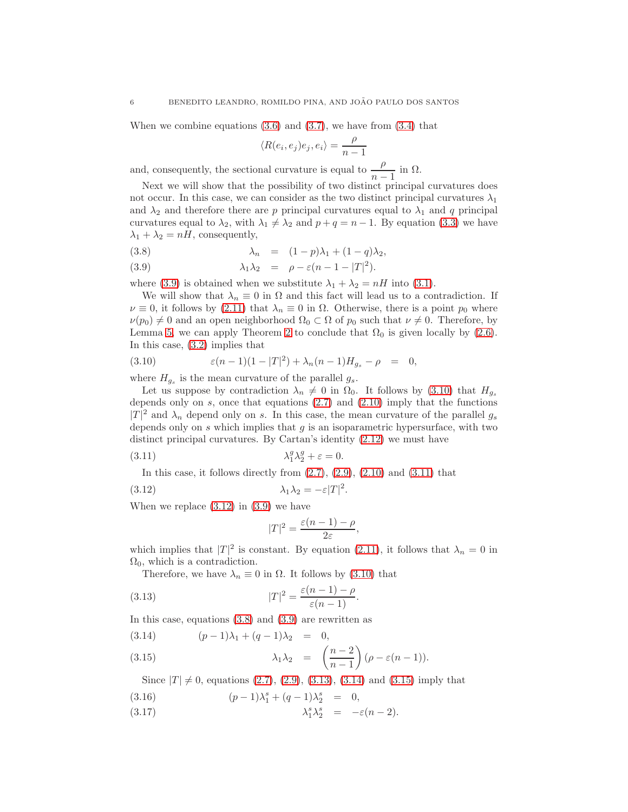When we combine equations  $(3.6)$  and  $(3.7)$ , we have from  $(3.4)$  that

<span id="page-5-0"></span>
$$
\langle R(e_i, e_j)e_j, e_i \rangle = \frac{\rho}{n-1}
$$

and, consequently, the sectional curvature is equal to  $\frac{\rho}{n-1}$  in  $\Omega$ .

Next we will show that the possibility of two distinct principal curvatures does not occur. In this case, we can consider as the two distinct principal curvatures  $\lambda_1$ and  $\lambda_2$  and therefore there are p principal curvatures equal to  $\lambda_1$  and q principal curvatures equal to  $\lambda_2$ , with  $\lambda_1 \neq \lambda_2$  and  $p + q = n - 1$ . By equation [\(3.3\)](#page-4-3) we have  $\lambda_1 + \lambda_2 = nH$ , consequently,

(3.8) 
$$
\lambda_n = (1-p)\lambda_1 + (1-q)\lambda_2,
$$

(3.9) 
$$
\lambda_1 \lambda_2 = \rho - \varepsilon (n - 1 - |T|^2).
$$

where [\(3.9\)](#page-5-0) is obtained when we substitute  $\lambda_1 + \lambda_2 = nH$  into [\(3.1\)](#page-4-2).

We will show that  $\lambda_n \equiv 0$  in  $\Omega$  and this fact will lead us to a contradiction. If  $\nu \equiv 0$ , it follows by [\(2.11\)](#page-3-4) that  $\lambda_n \equiv 0$  in  $\Omega$ . Otherwise, there is a point  $p_0$  where  $\nu(p_0) \neq 0$  and an open neighborhood  $\Omega_0 \subset \Omega$  of  $p_0$  such that  $\nu \neq 0$ . Therefore, by Lemma [5,](#page-3-3) we can apply Theorem [2](#page-2-4) to conclude that  $\Omega_0$  is given locally by [\(2.6\)](#page-2-0). In this case, [\(3.2\)](#page-4-2) implies that

<span id="page-5-1"></span>(3.10) 
$$
\varepsilon(n-1)(1-|T|^2) + \lambda_n(n-1)H_{g_s} - \rho = 0,
$$

where  $H_{g_s}$  is the mean curvature of the parallel  $g_s$ .

Let us suppose by contradiction  $\lambda_n \neq 0$  in  $\Omega_0$ . It follows by [\(3.10\)](#page-5-1) that  $H_{g_s}$ depends only on  $s$ , once that equations  $(2.7)$  and  $(2.10)$  imply that the functions  $|T|^2$  and  $\lambda_n$  depend only on s. In this case, the mean curvature of the parallel  $g_s$ depends only on  $s$  which implies that  $g$  is an isoparametric hypersurface, with two distinct principal curvatures. By Cartan's identity [\(2.12\)](#page-3-5) we must have

(3.11) 
$$
\lambda_1^g \lambda_2^g + \varepsilon = 0.
$$

In this case, it follows directly from  $(2.7)$ ,  $(2.9)$ ,  $(2.10)$  and  $(3.11)$  that

$$
\lambda_1 \lambda_2 = -\varepsilon |T|^2.
$$

When we replace  $(3.12)$  in  $(3.9)$  we have

<span id="page-5-4"></span><span id="page-5-3"></span><span id="page-5-2"></span>
$$
|T|^2=\frac{\varepsilon(n-1)-\rho}{2\varepsilon},
$$

which implies that  $|T|^2$  is constant. By equation [\(2.11\)](#page-3-4), it follows that  $\lambda_n = 0$  in  $\Omega_0$ , which is a contradiction.

Therefore, we have  $\lambda_n \equiv 0$  in  $\Omega$ . It follows by [\(3.10\)](#page-5-1) that

(3.13) 
$$
|T|^2 = \frac{\varepsilon(n-1) - \rho}{\varepsilon(n-1)}.
$$

In this case, equations [\(3.8\)](#page-5-0) and [\(3.9\)](#page-5-0) are rewritten as

<span id="page-5-5"></span>
$$
(3.14) \t\t (p-1)\lambda_1 + (q-1)\lambda_2 = 0,
$$

(3.15) 
$$
\lambda_1 \lambda_2 = \left(\frac{n-2}{n-1}\right) (\rho - \varepsilon (n-1)).
$$

<span id="page-5-6"></span>Since  $|T| \neq 0$ , equations [\(2.7\)](#page-2-2), [\(2.9\)](#page-2-3), [\(3.13\)](#page-5-4), [\(3.14\)](#page-5-5) and [\(3.15\)](#page-5-5) imply that

(3.16) 
$$
(p-1)\lambda_1^s + (q-1)\lambda_2^s = 0,
$$

(3.17)  $\lambda_1^s \lambda_2^s = -\varepsilon (n-2).$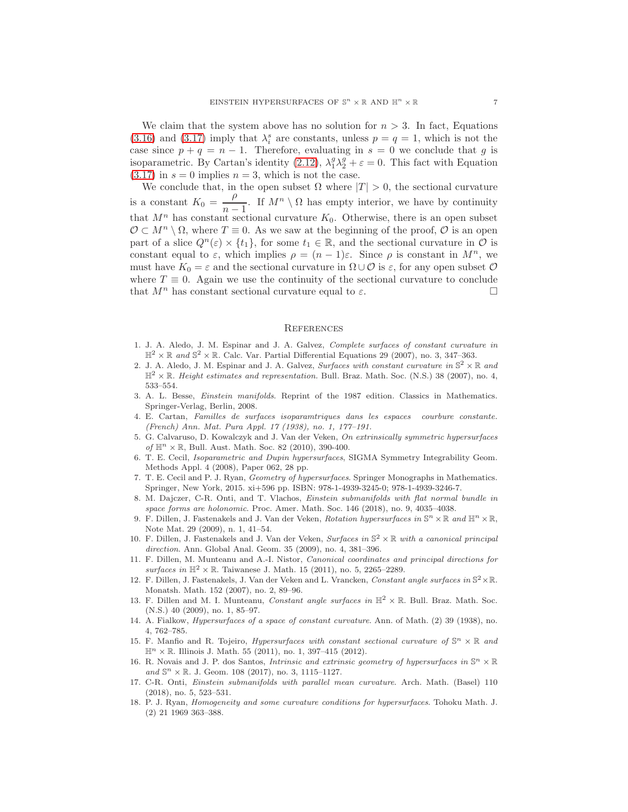We claim that the system above has no solution for  $n > 3$ . In fact, Equations [\(3.16\)](#page-5-6) and [\(3.17\)](#page-5-6) imply that  $\lambda_i^s$  are constants, unless  $p = q = 1$ , which is not the case since  $p + q = n - 1$ . Therefore, evaluating in  $s = 0$  we conclude that g is isoparametric. By Cartan's identity [\(2.12\)](#page-3-5),  $\lambda_1^g \lambda_2^g + \varepsilon = 0$ . This fact with Equation  $(3.17)$  in  $s = 0$  implies  $n = 3$ , which is not the case.

We conclude that, in the open subset  $\Omega$  where  $|T| > 0$ , the sectional curvature is a constant  $K_0 = \frac{\rho}{\rho}$  $\frac{p}{n-1}$ . If  $M^n \setminus \Omega$  has empty interior, we have by continuity that  $M^n$  has constant sectional curvature  $K_0$ . Otherwise, there is an open subset  $\mathcal{O} \subset M^n \setminus \Omega$ , where  $T \equiv 0$ . As we saw at the beginning of the proof,  $\mathcal{O}$  is an open part of a slice  $Q^n(\varepsilon) \times \{t_1\}$ , for some  $t_1 \in \mathbb{R}$ , and the sectional curvature in  $\mathcal O$  is constant equal to  $\varepsilon$ , which implies  $\rho = (n-1)\varepsilon$ . Since  $\rho$  is constant in  $M^n$ , we must have  $K_0 = \varepsilon$  and the sectional curvature in  $\Omega \cup \mathcal{O}$  is  $\varepsilon$ , for any open subset  $\mathcal O$ where  $T \equiv 0$ . Again we use the continuity of the sectional curvature to conclude that  $M^n$  has constant sectional curvature equal to  $\varepsilon$ .

### **REFERENCES**

- <span id="page-6-5"></span>1. J. A. Aledo, J. M. Espinar and J. A. Galvez, Complete surfaces of constant curvature in  $\mathbb{H}^2 \times \mathbb{R}$  and  $\mathbb{S}^2 \times \mathbb{R}$ . Calc. Var. Partial Differential Equations 29 (2007), no. 3, 347-363.
- <span id="page-6-6"></span>2. J. A. Aledo, J. M. Espinar and J. A. Galvez, Surfaces with constant curvature in  $\mathbb{S}^2 \times \mathbb{R}$  and  $\mathbb{H}^2 \times \mathbb{R}$ . Height estimates and representation. Bull. Braz. Math. Soc. (N.S.) 38 (2007), no. 4, 533–554.
- <span id="page-6-0"></span>3. A. L. Besse, Einstein manifolds. Reprint of the 1987 edition. Classics in Mathematics. Springer-Verlag, Berlin, 2008.
- <span id="page-6-17"></span>4. E. Cartan, Familles de surfaces isoparamtriques dans les espaces courbure constante. (French) Ann. Mat. Pura Appl. 17 (1938), no. 1, 177–191.
- <span id="page-6-7"></span>5. G. Calvaruso, D. Kowalczyk and J. Van der Veken, On extrinsically symmetric hypersurfaces of  $\mathbb{H}^n \times \mathbb{R}$ , Bull. Aust. Math. Soc. 82 (2010), 390-400.
- <span id="page-6-15"></span>6. T. E. Cecil, Isoparametric and Dupin hypersurfaces, SIGMA Symmetry Integrability Geom. Methods Appl. 4 (2008), Paper 062, 28 pp.
- <span id="page-6-16"></span>7. T. E. Cecil and P. J. Ryan, Geometry of hypersurfaces. Springer Monographs in Mathematics. Springer, New York, 2015. xi+596 pp. ISBN: 978-1-4939-3245-0; 978-1-4939-3246-7.
- <span id="page-6-4"></span>8. M. Dajczer, C-R. Onti, and T. Vlachos, Einstein submanifolds with flat normal bundle in space forms are holonomic. Proc. Amer. Math. Soc. 146 (2018), no. 9, 4035–4038.
- <span id="page-6-8"></span>9. F. Dillen, J. Fastenakels and J. Van der Veken, Rotation hypersurfaces in  $\mathbb{S}^n \times \mathbb{R}$  and  $\mathbb{H}^n \times \mathbb{R}$ , Note Mat. 29 (2009), n. 1, 41–54.
- <span id="page-6-13"></span>10. F. Dillen, J. Fastenakels and J. Van der Veken, Surfaces in  $\mathbb{S}^2 \times \mathbb{R}$  with a canonical principal direction. Ann. Global Anal. Geom. 35 (2009), no. 4, 381–396.
- <span id="page-6-14"></span>11. F. Dillen, M. Munteanu and A.-I. Nistor, Canonical coordinates and principal directions for surfaces in  $\mathbb{H}^2 \times \mathbb{R}$ . Taiwanese J. Math. 15 (2011), no. 5, 2265–2289.
- <span id="page-6-11"></span>12. F. Dillen, J. Fastenakels, J. Van der Veken and L. Vrancken, Constant angle surfaces in  $\mathbb{S}^2 \times \mathbb{R}$ . Monatsh. Math. 152 (2007), no. 2, 89–96.
- <span id="page-6-12"></span>13. F. Dillen and M. I. Munteanu, Constant angle surfaces in  $\mathbb{H}^2 \times \mathbb{R}$ . Bull. Braz. Math. Soc. (N.S.) 40 (2009), no. 1, 85–97.
- <span id="page-6-1"></span>14. A. Fialkow, Hypersurfaces of a space of constant curvature. Ann. of Math. (2) 39 (1938), no. 4, 762–785.
- <span id="page-6-9"></span>15. F. Manfio and R. Tojeiro, *Hypersurfaces with constant sectional curvature of*  $\mathbb{S}^n \times \mathbb{R}$  and  $\mathbb{H}^n \times \mathbb{R}$ . Illinois J. Math. 55 (2011), no. 1, 397-415 (2012).
- <span id="page-6-10"></span>16. R. Novais and J. P. dos Santos, *Intrinsic and extrinsic geometry of hypersurfaces in*  $\mathbb{S}^n \times \mathbb{R}$ and  $\mathbb{S}^n \times \mathbb{R}$ . J. Geom. 108 (2017), no. 3, 1115–1127.
- <span id="page-6-3"></span>17. C-R. Onti, Einstein submanifolds with parallel mean curvature. Arch. Math. (Basel) 110 (2018), no. 5, 523–531.
- <span id="page-6-2"></span>18. P. J. Ryan, Homogeneity and some curvature conditions for hypersurfaces. Tohoku Math. J. (2) 21 1969 363–388.